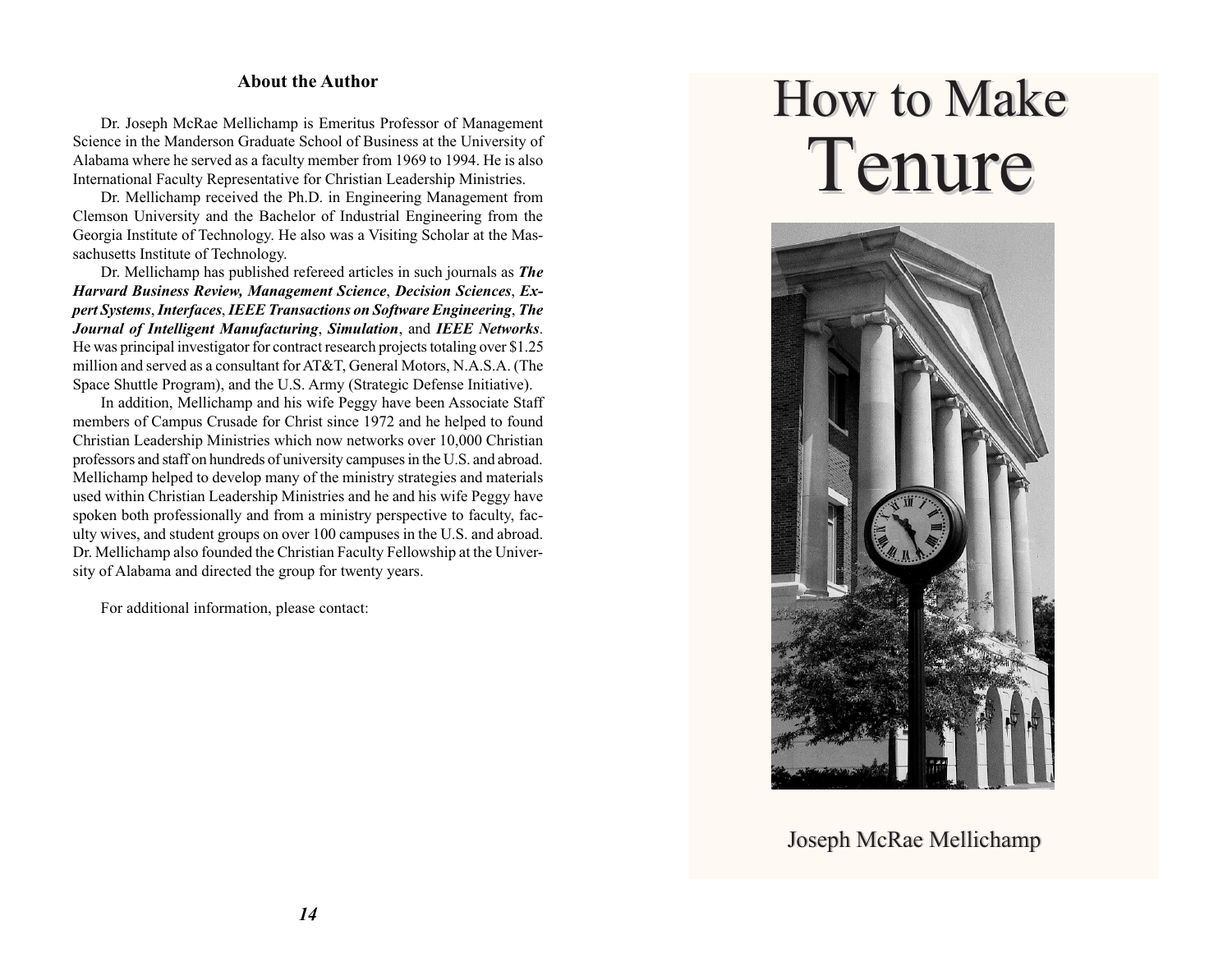#### **About the Author**

Dr. Joseph McRae Mellichamp is Emeritus Professor of Management Science in the Manderson Graduate School of Business at the University of Alabama where he served as a faculty member from 1969 to 1994. He is also International Faculty Representative for Christian Leadership Ministries.

Dr. Mellichamp received the Ph.D. in Engineering Management from Clemson University and the Bachelor of Industrial Engineering from the Georgia Institute of Technology. He also was a Visiting Scholar at the Massachusetts Institute of Technology.

Dr. Mellichamp has published refereed articles in such journals as *The Harvard Business Review, Management Science*, *Decision Sciences*, *Expert Systems*, *Interfaces*, *IEEE Transactions on Software Engineering*, *The Journal of Intelligent Manufacturing*, *Simulation*, and *IEEE Networks*. He was principal investigator for contract research projects totaling over \$1.25 million and served as a consultant for AT&T, General Motors, N.A.S.A. (The Space Shuttle Program), and the U.S. Army (Strategic Defense Initiative).

In addition, Mellichamp and his wife Peggy have been Associate Staff members of Campus Crusade for Christ since 1972 and he helped to found Christian Leadership Ministries which now networks over 10,000 Christian professors and staff on hundreds of university campuses in the U.S. and abroad. Mellichamp helped to develop many of the ministry strategies and materials used within Christian Leadership Ministries and he and his wife Peggy have spoken both professionally and from a ministry perspective to faculty, faculty wives, and student groups on over 100 campuses in the U.S. and abroad. Dr. Mellichamp also founded the Christian Faculty Fellowship at the University of Alabama and directed the group for twenty years.

For additional information, please contact:

# How to Make Tenure



Joseph McRae Mellichamp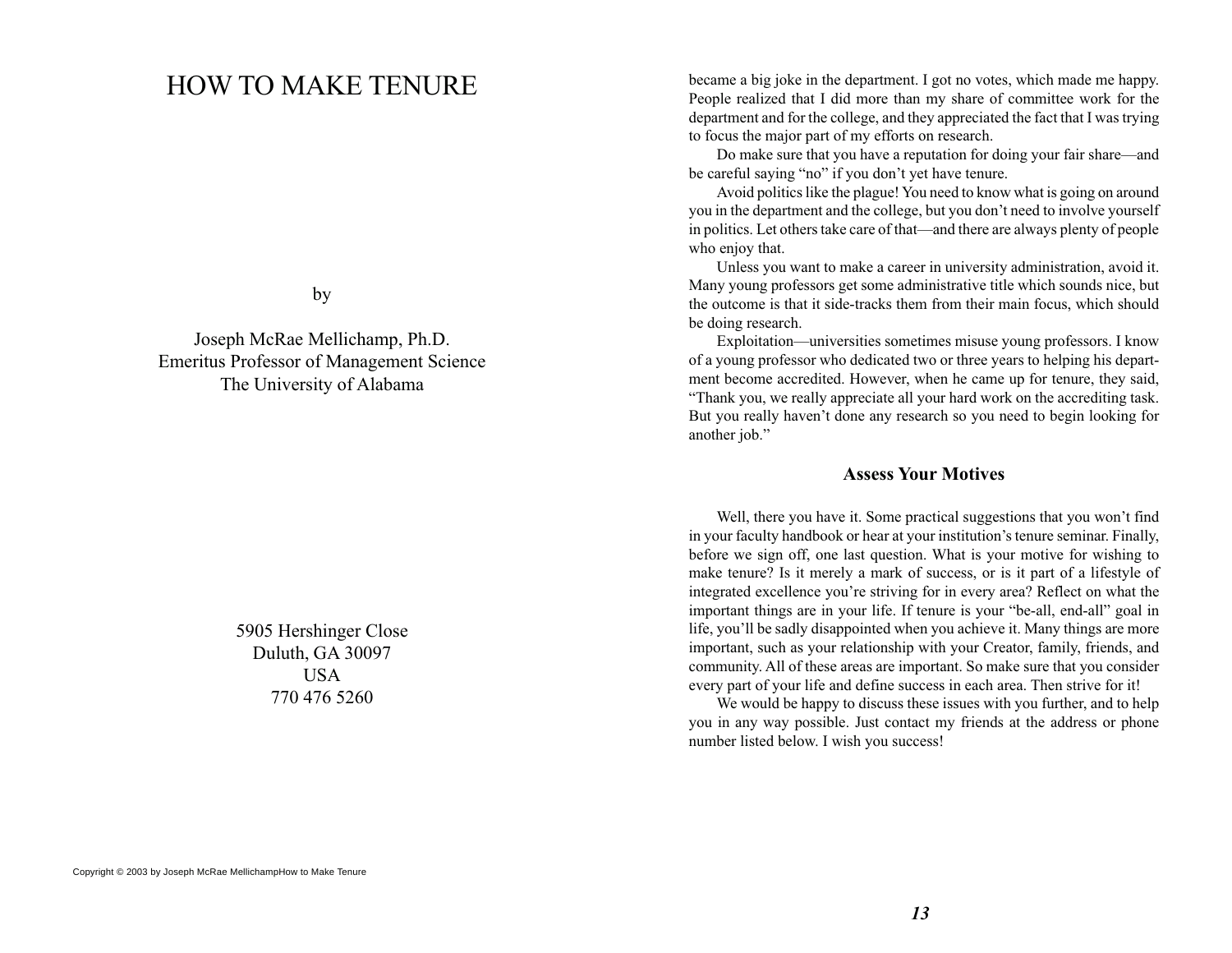# HOW TO MAKE TENURE

by

Joseph McRae Mellichamp, Ph.D. Emeritus Professor of Management Science The University of Alabama

> 5905 Hershinger Close Duluth, GA 30097 **USA** 770 476 5260

became a big joke in the department. I got no votes, which made me happy. People realized that I did more than my share of committee work for the department and for the college, and they appreciated the fact that I was trying to focus the major part of my efforts on research.

Do make sure that you have a reputation for doing your fair share—and be careful saying "no" if you don't yet have tenure.

Avoid politics like the plague! You need to know what is going on around you in the department and the college, but you don't need to involve yourself in politics. Let others take care of that—and there are always plenty of people who enjoy that.

Unless you want to make a career in university administration, avoid it. Many young professors get some administrative title which sounds nice, but the outcome is that it side-tracks them from their main focus, which should be doing research.

Exploitation—universities sometimes misuse young professors. I know of a young professor who dedicated two or three years to helping his department become accredited. However, when he came up for tenure, they said, "Thank you, we really appreciate all your hard work on the accrediting task. But you really haven't done any research so you need to begin looking for another job."

#### **Assess Your Motives**

Well, there you have it. Some practical suggestions that you won't find in your faculty handbook or hear at your institution's tenure seminar. Finally, before we sign off, one last question. What is your motive for wishing to make tenure? Is it merely a mark of success, or is it part of a lifestyle of integrated excellence you're striving for in every area? Reflect on what the important things are in your life. If tenure is your "be-all, end-all" goal in life, you'll be sadly disappointed when you achieve it. Many things are more important, such as your relationship with your Creator, family, friends, and community. All of these areas are important. So make sure that you consider every part of your life and define success in each area. Then strive for it!

We would be happy to discuss these issues with you further, and to help you in any way possible. Just contact my friends at the address or phone number listed below. I wish you success!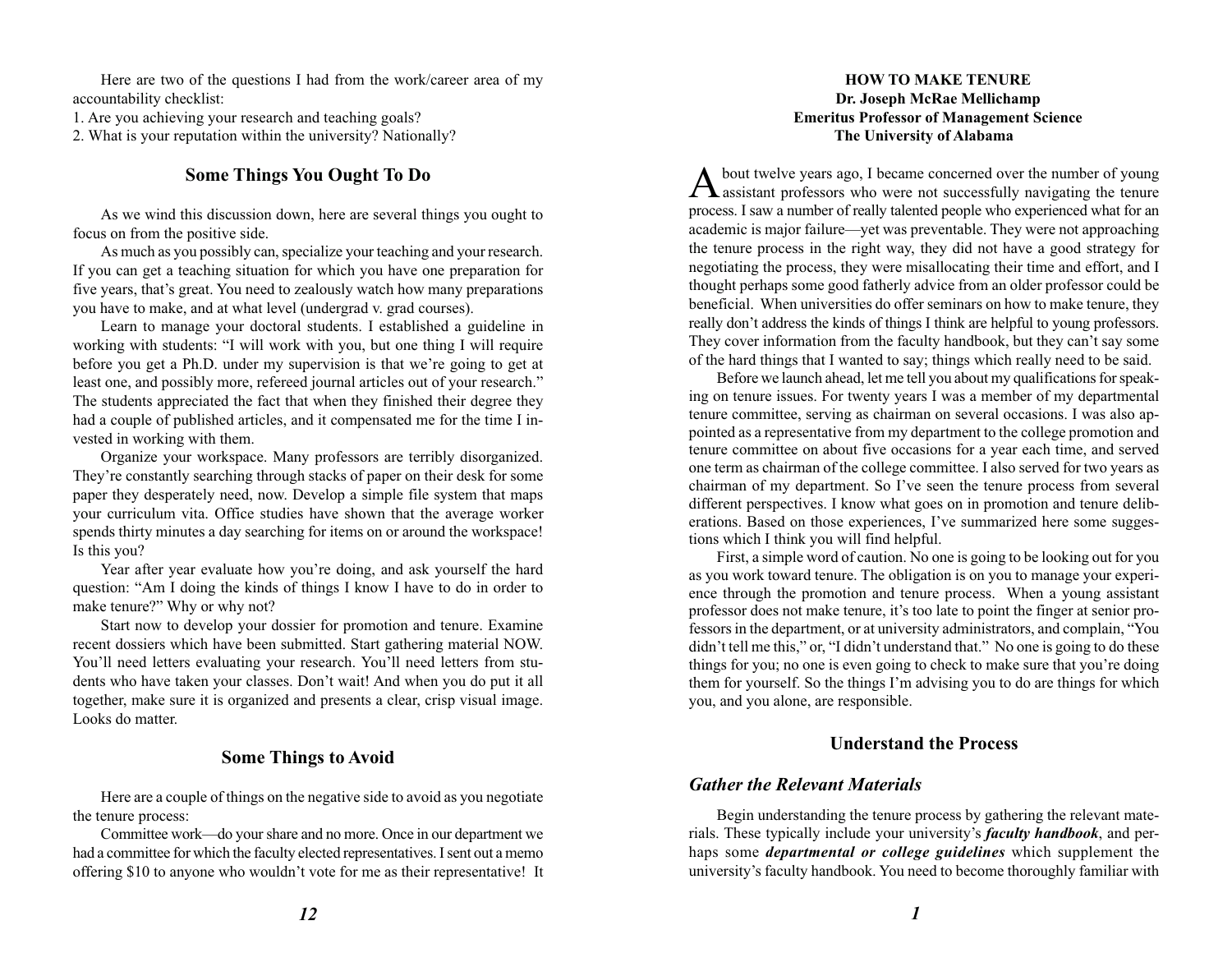Here are two of the questions I had from the work/career area of my accountability checklist:

1. Are you achieving your research and teaching goals?

2. What is your reputation within the university? Nationally?

# **Some Things You Ought To Do**

As we wind this discussion down, here are several things you ought to focus on from the positive side.

As much as you possibly can, specialize your teaching and your research. If you can get a teaching situation for which you have one preparation for five years, that's great. You need to zealously watch how many preparations you have to make, and at what level (undergrad v. grad courses).

Learn to manage your doctoral students. I established a guideline in working with students: "I will work with you, but one thing I will require before you get a Ph.D. under my supervision is that we're going to get at least one, and possibly more, refereed journal articles out of your research." The students appreciated the fact that when they finished their degree they had a couple of published articles, and it compensated me for the time I invested in working with them.

Organize your workspace. Many professors are terribly disorganized. They're constantly searching through stacks of paper on their desk for some paper they desperately need, now. Develop a simple file system that maps your curriculum vita. Office studies have shown that the average worker spends thirty minutes a day searching for items on or around the workspace! Is this you?

Year after year evaluate how you're doing, and ask yourself the hard question: "Am I doing the kinds of things I know I have to do in order to make tenure?" Why or why not?

Start now to develop your dossier for promotion and tenure. Examine recent dossiers which have been submitted. Start gathering material NOW. You'll need letters evaluating your research. You'll need letters from students who have taken your classes. Don't wait! And when you do put it all together, make sure it is organized and presents a clear, crisp visual image. Looks do matter.

# **Some Things to Avoid**

Here are a couple of things on the negative side to avoid as you negotiate the tenure process:

Committee work—do your share and no more. Once in our department we had a committee for which the faculty elected representatives. I sent out a memo offering \$10 to anyone who wouldn't vote for me as their representative! It

#### **HOW TO MAKE TENURE Dr. Joseph McRae Mellichamp Emeritus Professor of Management Science The University of Alabama**

 $\mathbf A$  bout twelve years ago, I became concerned over the number of young assistant professors who were not successfully navigating the tenure process. I saw a number of really talented people who experienced what for an academic is major failure—yet was preventable. They were not approaching the tenure process in the right way, they did not have a good strategy for negotiating the process, they were misallocating their time and effort, and I thought perhaps some good fatherly advice from an older professor could be beneficial. When universities do offer seminars on how to make tenure, they really don't address the kinds of things I think are helpful to young professors. They cover information from the faculty handbook, but they can't say some of the hard things that I wanted to say; things which really need to be said.

Before we launch ahead, let me tell you about my qualifications for speaking on tenure issues. For twenty years I was a member of my departmental tenure committee, serving as chairman on several occasions. I was also appointed as a representative from my department to the college promotion and tenure committee on about five occasions for a year each time, and served one term as chairman of the college committee. I also served for two years as chairman of my department. So I've seen the tenure process from several different perspectives. I know what goes on in promotion and tenure deliberations. Based on those experiences, I've summarized here some suggestions which I think you will find helpful.

First, a simple word of caution. No one is going to be looking out for you as you work toward tenure. The obligation is on you to manage your experience through the promotion and tenure process. When a young assistant professor does not make tenure, it's too late to point the finger at senior professors in the department, or at university administrators, and complain, "You didn't tell me this," or, "I didn't understand that." No one is going to do these things for you; no one is even going to check to make sure that you're doing them for yourself. So the things I'm advising you to do are things for which you, and you alone, are responsible.

# **Understand the Process**

# *Gather the Relevant Materials*

Begin understanding the tenure process by gathering the relevant materials. These typically include your university's *faculty handbook*, and perhaps some *departmental or college guidelines* which supplement the university's faculty handbook. You need to become thoroughly familiar with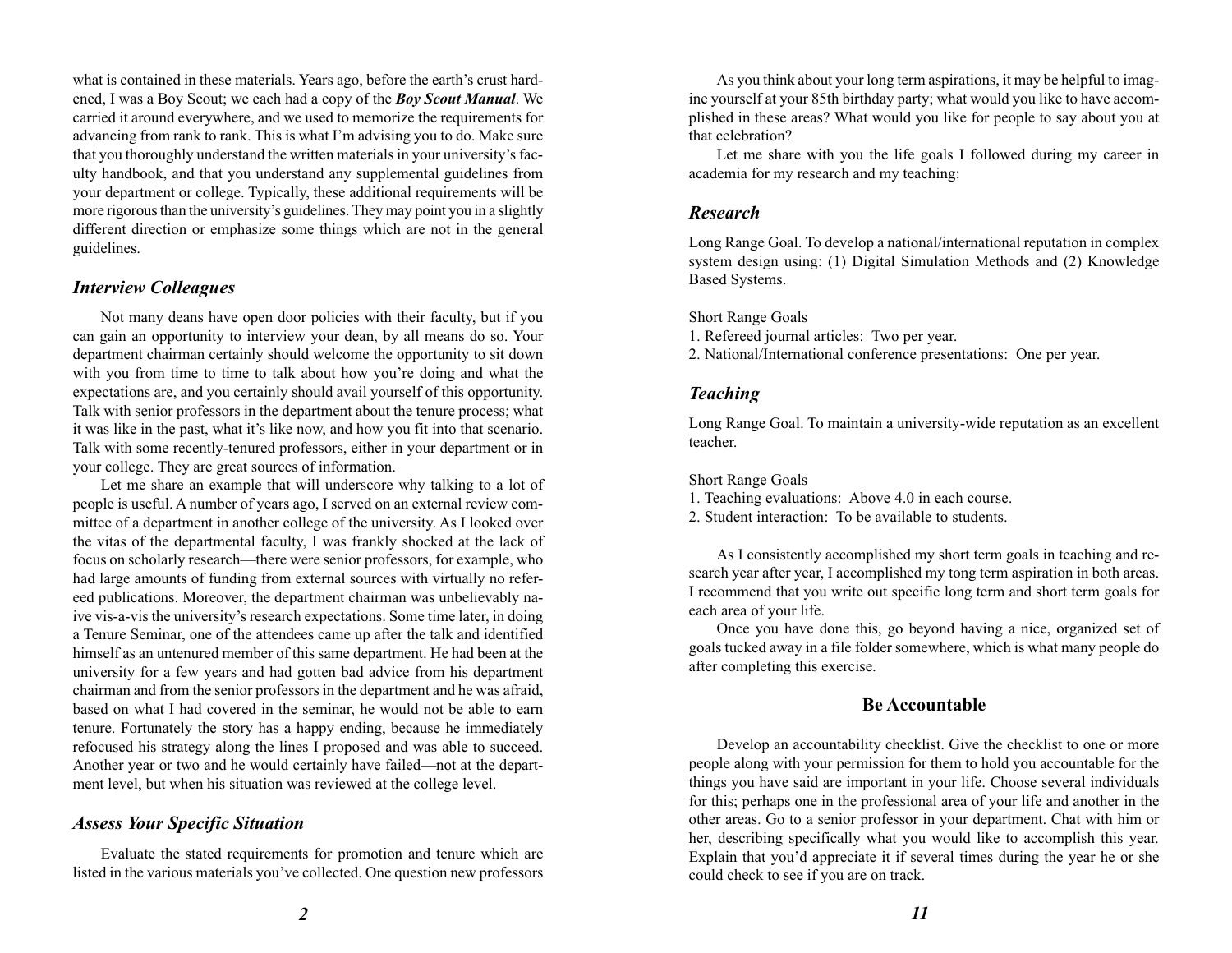what is contained in these materials. Years ago, before the earth's crust hardened, I was a Boy Scout; we each had a copy of the *Boy Scout Manual*. We carried it around everywhere, and we used to memorize the requirements for advancing from rank to rank. This is what I'm advising you to do. Make sure that you thoroughly understand the written materials in your university's faculty handbook, and that you understand any supplemental guidelines from your department or college. Typically, these additional requirements will be more rigorous than the university's guidelines. They may point you in a slightly different direction or emphasize some things which are not in the general guidelines.

### *Interview Colleagues*

Not many deans have open door policies with their faculty, but if you can gain an opportunity to interview your dean, by all means do so. Your department chairman certainly should welcome the opportunity to sit down with you from time to time to talk about how you're doing and what the expectations are, and you certainly should avail yourself of this opportunity. Talk with senior professors in the department about the tenure process; what it was like in the past, what it's like now, and how you fit into that scenario. Talk with some recently-tenured professors, either in your department or in your college. They are great sources of information.

Let me share an example that will underscore why talking to a lot of people is useful. A number of years ago, I served on an external review committee of a department in another college of the university. As I looked over the vitas of the departmental faculty, I was frankly shocked at the lack of focus on scholarly research—there were senior professors, for example, who had large amounts of funding from external sources with virtually no refereed publications. Moreover, the department chairman was unbelievably naive vis-a-vis the university's research expectations. Some time later, in doing a Tenure Seminar, one of the attendees came up after the talk and identified himself as an untenured member of this same department. He had been at the university for a few years and had gotten bad advice from his department chairman and from the senior professors in the department and he was afraid, based on what I had covered in the seminar, he would not be able to earn tenure. Fortunately the story has a happy ending, because he immediately refocused his strategy along the lines I proposed and was able to succeed. Another year or two and he would certainly have failed—not at the department level, but when his situation was reviewed at the college level.

#### *Assess Your Specific Situation*

Evaluate the stated requirements for promotion and tenure which are listed in the various materials you've collected. One question new professors

As you think about your long term aspirations, it may be helpful to imagine yourself at your 85th birthday party; what would you like to have accomplished in these areas? What would you like for people to say about you at that celebration?

Let me share with you the life goals I followed during my career in academia for my research and my teaching:

#### *Research*

Long Range Goal. To develop a national/international reputation in complex system design using: (1) Digital Simulation Methods and (2) Knowledge Based Systems.

Short Range Goals

- 1. Refereed journal articles: Two per year.
- 2. National/International conference presentations: One per year.

#### *Teaching*

Long Range Goal. To maintain a university-wide reputation as an excellent teacher.

Short Range Goals

1. Teaching evaluations: Above 4.0 in each course.

2. Student interaction: To be available to students.

As I consistently accomplished my short term goals in teaching and research year after year, I accomplished my tong term aspiration in both areas. I recommend that you write out specific long term and short term goals for each area of your life.

Once you have done this, go beyond having a nice, organized set of goals tucked away in a file folder somewhere, which is what many people do after completing this exercise.

#### **Be Accountable**

Develop an accountability checklist. Give the checklist to one or more people along with your permission for them to hold you accountable for the things you have said are important in your life. Choose several individuals for this; perhaps one in the professional area of your life and another in the other areas. Go to a senior professor in your department. Chat with him or her, describing specifically what you would like to accomplish this year. Explain that you'd appreciate it if several times during the year he or she could check to see if you are on track.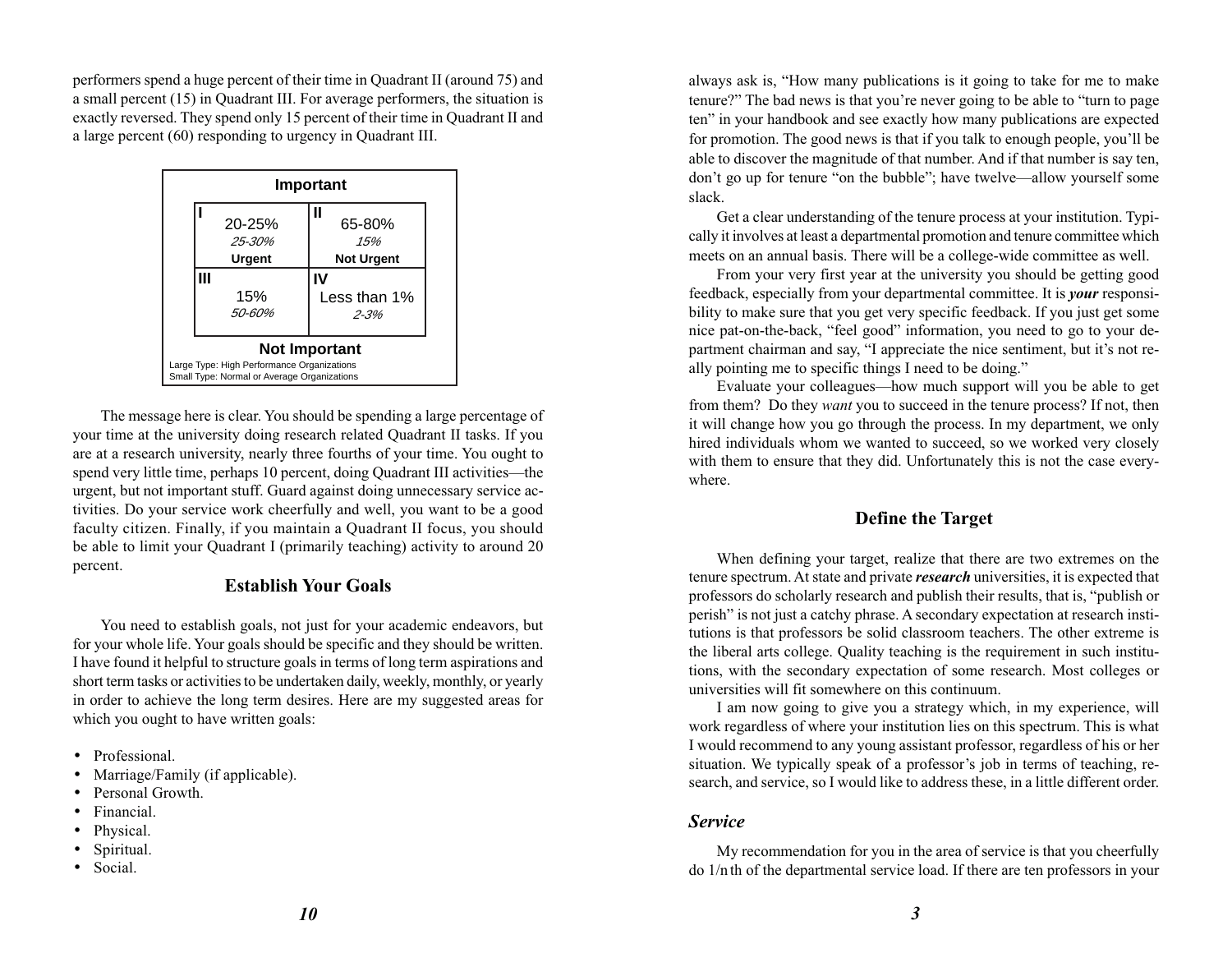performers spend a huge percent of their time in Quadrant II (around 75) and a small percent (15) in Quadrant III. For average performers, the situation is exactly reversed. They spend only 15 percent of their time in Quadrant II and a large percent (60) responding to urgency in Quadrant III.

| Important                                                                                 |                  |                     |  |  |  |  |  |  |  |
|-------------------------------------------------------------------------------------------|------------------|---------------------|--|--|--|--|--|--|--|
|                                                                                           | 20-25%<br>25-30% | Ш<br>65-80%<br>1.5% |  |  |  |  |  |  |  |
|                                                                                           | Urgent           | <b>Not Urgent</b>   |  |  |  |  |  |  |  |
|                                                                                           |                  |                     |  |  |  |  |  |  |  |
|                                                                                           | 15%              | Less than 1%        |  |  |  |  |  |  |  |
|                                                                                           | 50-60%           | $2 - 3%$            |  |  |  |  |  |  |  |
| <b>Not Important</b>                                                                      |                  |                     |  |  |  |  |  |  |  |
| Large Type: High Performance Organizations<br>Small Type: Normal or Average Organizations |                  |                     |  |  |  |  |  |  |  |

The message here is clear. You should be spending a large percentage of your time at the university doing research related Quadrant II tasks. If you are at a research university, nearly three fourths of your time. You ought to spend very little time, perhaps 10 percent, doing Quadrant III activities—the urgent, but not important stuff. Guard against doing unnecessary service activities. Do your service work cheerfully and well, you want to be a good faculty citizen. Finally, if you maintain a Quadrant II focus, you should be able to limit your Quadrant I (primarily teaching) activity to around 20 percent.

#### **Establish Your Goals**

You need to establish goals, not just for your academic endeavors, but for your whole life. Your goals should be specific and they should be written. I have found it helpful to structure goals in terms of long term aspirations and short term tasks or activities to be undertaken daily, weekly, monthly, or yearly in order to achieve the long term desires. Here are my suggested areas for which you ought to have written goals:

- Professional.
- •Marriage/Family (if applicable).
- •Personal Growth.
- •Financial.
- Physical.
- •Spiritual.
- Social.

always ask is, "How many publications is it going to take for me to make tenure?" The bad news is that you're never going to be able to "turn to page ten" in your handbook and see exactly how many publications are expected for promotion. The good news is that if you talk to enough people, you'll be able to discover the magnitude of that number. And if that number is say ten, don't go up for tenure "on the bubble"; have twelve—allow yourself some slack.

Get a clear understanding of the tenure process at your institution. Typically it involves at least a departmental promotion and tenure committee which meets on an annual basis. There will be a college-wide committee as well.

From your very first year at the university you should be getting good feedback, especially from your departmental committee. It is *your* responsibility to make sure that you get very specific feedback. If you just get some nice pat-on-the-back, "feel good" information, you need to go to your department chairman and say, "I appreciate the nice sentiment, but it's not really pointing me to specific things I need to be doing."

Evaluate your colleagues—how much support will you be able to get from them? Do they *want* you to succeed in the tenure process? If not, then it will change how you go through the process. In my department, we only hired individuals whom we wanted to succeed, so we worked very closely with them to ensure that they did. Unfortunately this is not the case everywhere.

# **Define the Target**

When defining your target, realize that there are two extremes on the tenure spectrum. At state and private *research* universities, it is expected that professors do scholarly research and publish their results, that is, "publish or perish" is not just a catchy phrase. A secondary expectation at research institutions is that professors be solid classroom teachers. The other extreme is the liberal arts college. Quality teaching is the requirement in such institutions, with the secondary expectation of some research. Most colleges or universities will fit somewhere on this continuum.

I am now going to give you a strategy which, in my experience, will work regardless of where your institution lies on this spectrum. This is what I would recommend to any young assistant professor, regardless of his or her situation. We typically speak of a professor's job in terms of teaching, research, and service, so I would like to address these, in a little different order.

#### *Service*

My recommendation for you in the area of service is that you cheerfully do 1/n th of the departmental service load. If there are ten professors in your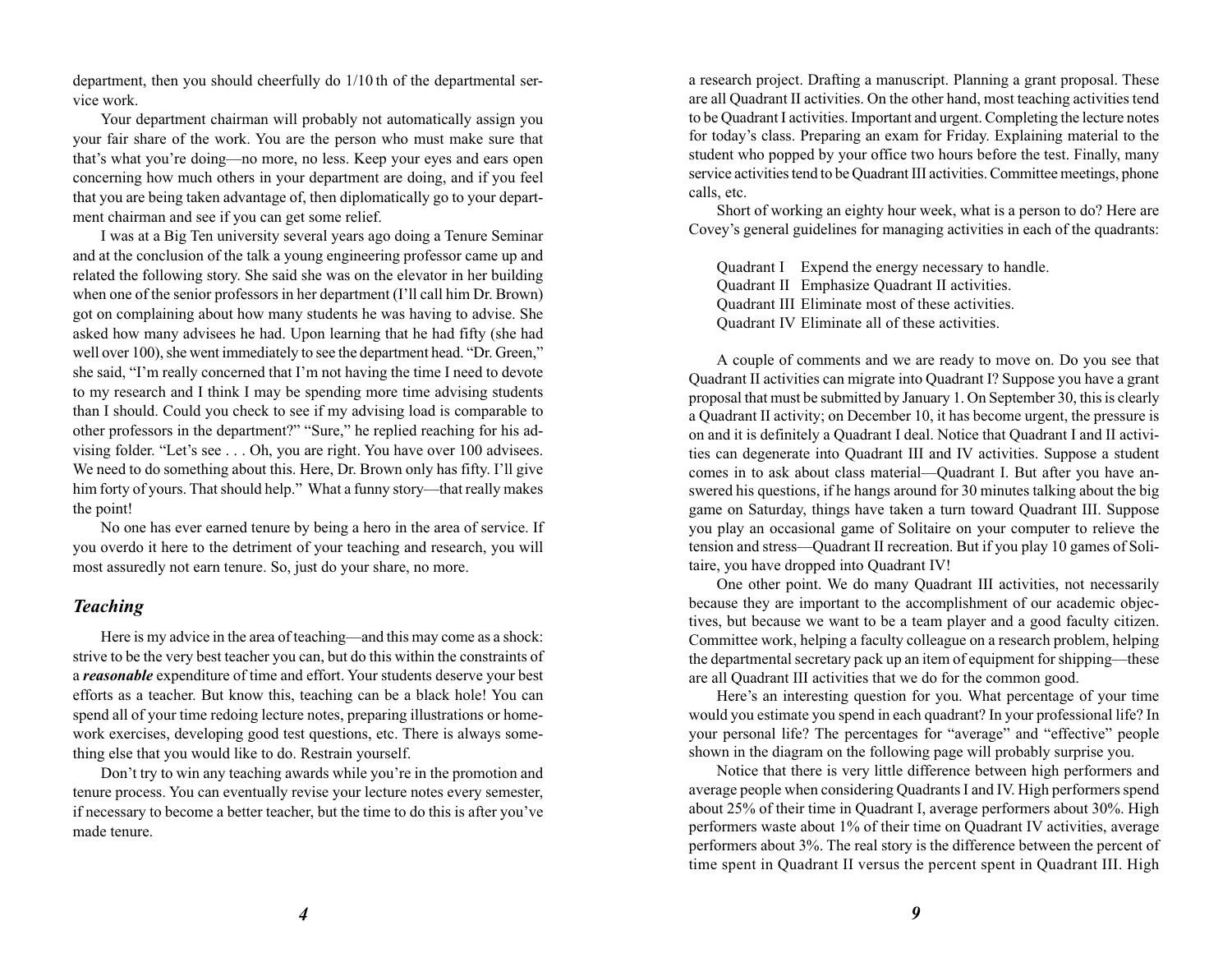department, then you should cheerfully do 1/10 th of the departmental service work.

Your department chairman will probably not automatically assign you your fair share of the work. You are the person who must make sure that that's what you're doing—no more, no less. Keep your eyes and ears open concerning how much others in your department are doing, and if you feel that you are being taken advantage of, then diplomatically go to your department chairman and see if you can get some relief.

I was at a Big Ten university several years ago doing a Tenure Seminar and at the conclusion of the talk a young engineering professor came up and related the following story. She said she was on the elevator in her building when one of the senior professors in her department (I'll call him Dr. Brown) got on complaining about how many students he was having to advise. She asked how many advisees he had. Upon learning that he had fifty (she had well over 100), she went immediately to see the department head. "Dr. Green," she said, "I'm really concerned that I'm not having the time I need to devote to my research and I think I may be spending more time advising students than I should. Could you check to see if my advising load is comparable to other professors in the department?" "Sure," he replied reaching for his advising folder. "Let's see . . . Oh, you are right. You have over 100 advisees. We need to do something about this. Here, Dr. Brown only has fifty. I'll give him forty of yours. That should help." What a funny story—that really makes the point!

No one has ever earned tenure by being a hero in the area of service. If you overdo it here to the detriment of your teaching and research, you will most assuredly not earn tenure. So, just do your share, no more.

## *Teaching*

Here is my advice in the area of teaching—and this may come as a shock: strive to be the very best teacher you can, but do this within the constraints of <sup>a</sup>*reasonable* expenditure of time and effort. Your students deserve your best efforts as a teacher. But know this, teaching can be a black hole! You can spend all of your time redoing lecture notes, preparing illustrations or homework exercises, developing good test questions, etc. There is always something else that you would like to do. Restrain yourself.

Don't try to win any teaching awards while you're in the promotion and tenure process. You can eventually revise your lecture notes every semester, if necessary to become a better teacher, but the time to do this is after you've made tenure.

a research project. Drafting a manuscript. Planning a grant proposal. These are all Quadrant II activities. On the other hand, most teaching activities tend to be Quadrant I activities. Important and urgent. Completing the lecture notes for today's class. Preparing an exam for Friday. Explaining material to the student who popped by your office two hours before the test. Finally, many service activities tend to be Quadrant III activities. Committee meetings, phone calls, etc.

Short of working an eighty hour week, what is a person to do? Here are Covey's general guidelines for managing activities in each of the quadrants:

Quadrant I Expend the energy necessary to handle. Quadrant II Emphasize Quadrant II activities. Quadrant III Eliminate most of these activities. Quadrant IV Eliminate all of these activities.

A couple of comments and we are ready to move on. Do you see that Quadrant II activities can migrate into Quadrant I? Suppose you have a grant proposal that must be submitted by January 1. On September 30, this is clearly a Quadrant II activity; on December 10, it has become urgent, the pressure is on and it is definitely a Quadrant I deal. Notice that Quadrant I and II activities can degenerate into Quadrant III and IV activities. Suppose a student comes in to ask about class material—Quadrant I. But after you have answered his questions, if he hangs around for 30 minutes talking about the big game on Saturday, things have taken a turn toward Quadrant III. Suppose you play an occasional game of Solitaire on your computer to relieve the tension and stress—Quadrant II recreation. But if you play 10 games of Solitaire, you have dropped into Quadrant IV!

One other point. We do many Quadrant III activities, not necessarily because they are important to the accomplishment of our academic objectives, but because we want to be a team player and a good faculty citizen. Committee work, helping a faculty colleague on a research problem, helping the departmental secretary pack up an item of equipment for shipping—these are all Quadrant III activities that we do for the common good.

Here's an interesting question for you. What percentage of your time would you estimate you spend in each quadrant? In your professional life? In your personal life? The percentages for "average" and "effective" people shown in the diagram on the following page will probably surprise you.

Notice that there is very little difference between high performers and average people when considering Quadrants I and IV. High performers spend about 25% of their time in Quadrant I, average performers about 30%. High performers waste about 1% of their time on Quadrant IV activities, average performers about 3%. The real story is the difference between the percent of time spent in Quadrant II versus the percent spent in Quadrant III. High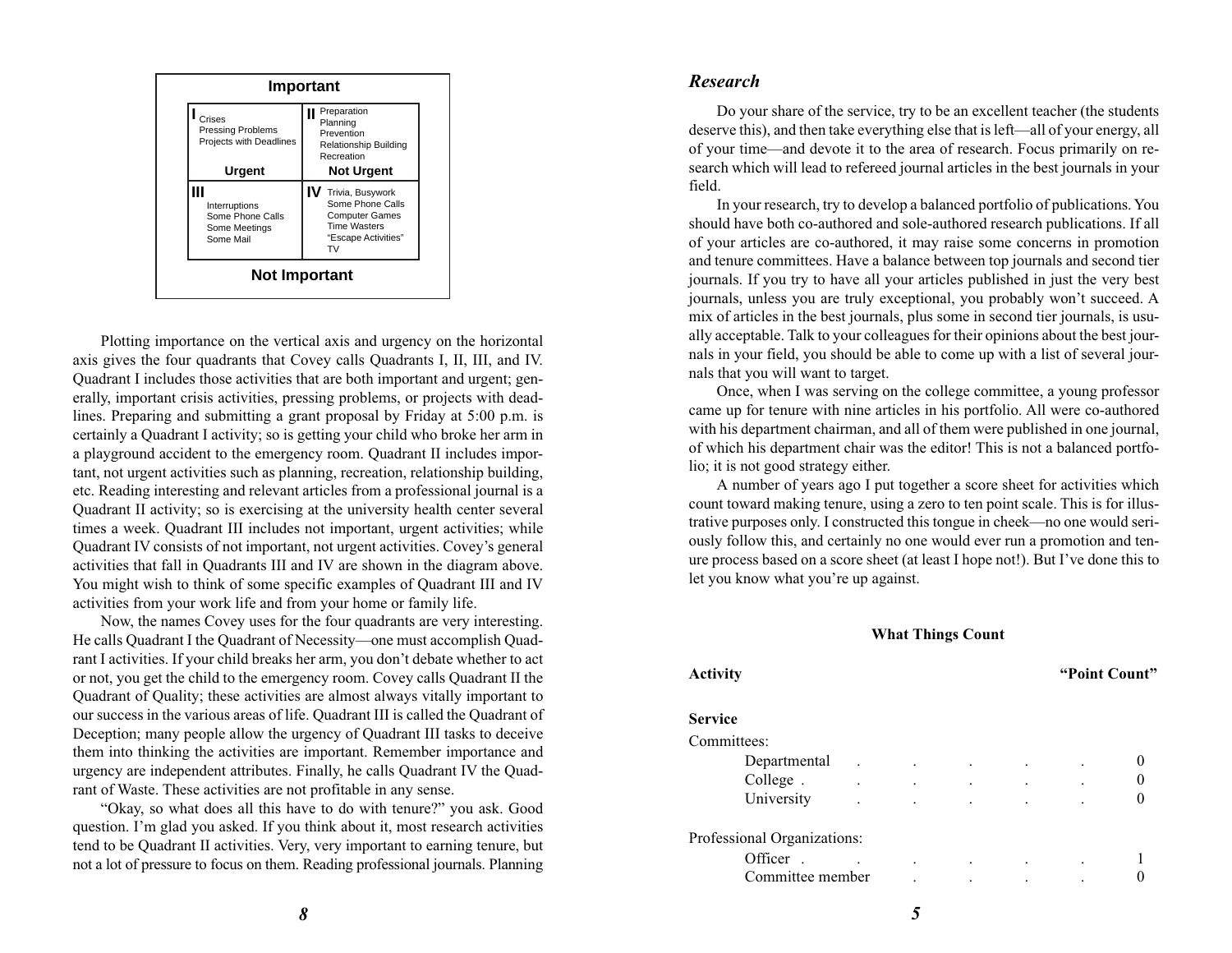

Plotting importance on the vertical axis and urgency on the horizontal axis gives the four quadrants that Covey calls Quadrants I, II, III, and IV. Quadrant I includes those activities that are both important and urgent; generally, important crisis activities, pressing problems, or projects with deadlines. Preparing and submitting a grant proposal by Friday at 5:00 p.m. is certainly a Quadrant I activity; so is getting your child who broke her arm in a playground accident to the emergency room. Quadrant II includes important, not urgent activities such as planning, recreation, relationship building, etc. Reading interesting and relevant articles from a professional journal is a Quadrant II activity; so is exercising at the university health center several times a week. Quadrant III includes not important, urgent activities; while Quadrant IV consists of not important, not urgent activities. Covey's general activities that fall in Quadrants III and IV are shown in the diagram above. You might wish to think of some specific examples of Quadrant III and IV activities from your work life and from your home or family life.

Now, the names Covey uses for the four quadrants are very interesting. He calls Quadrant I the Quadrant of Necessity—one must accomplish Quadrant I activities. If your child breaks her arm, you don't debate whether to act or not, you get the child to the emergency room. Covey calls Quadrant II the Quadrant of Quality; these activities are almost always vitally important to our success in the various areas of life. Quadrant III is called the Quadrant of Deception; many people allow the urgency of Quadrant III tasks to deceive them into thinking the activities are important. Remember importance and urgency are independent attributes. Finally, he calls Quadrant IV the Quadrant of Waste. These activities are not profitable in any sense.

"Okay, so what does all this have to do with tenure?" you ask. Good question. I'm glad you asked. If you think about it, most research activities tend to be Quadrant II activities. Very, very important to earning tenure, but not a lot of pressure to focus on them. Reading professional journals. Planning

#### *Research*

Do your share of the service, try to be an excellent teacher (the students deserve this), and then take everything else that is left—all of your energy, all of your time—and devote it to the area of research. Focus primarily on research which will lead to refereed journal articles in the best journals in your field.

In your research, try to develop a balanced portfolio of publications. You should have both co-authored and sole-authored research publications. If all of your articles are co-authored, it may raise some concerns in promotion and tenure committees. Have a balance between top journals and second tier journals. If you try to have all your articles published in just the very best journals, unless you are truly exceptional, you probably won't succeed. A mix of articles in the best journals, plus some in second tier journals, is usually acceptable. Talk to your colleagues for their opinions about the best journals in your field, you should be able to come up with a list of several journals that you will want to target.

Once, when I was serving on the college committee, a young professor came up for tenure with nine articles in his portfolio. All were co-authored with his department chairman, and all of them were published in one journal, of which his department chair was the editor! This is not a balanced portfolio; it is not good strategy either.

A number of years ago I put together a score sheet for activities which count toward making tenure, using a zero to ten point scale. This is for illustrative purposes only. I constructed this tongue in cheek—no one would seriously follow this, and certainly no one would ever run a promotion and tenure process based on a score sheet (at least I hope not!). But I've done this to let you know what you're up against.

#### **What Things Count**

| <b>Activity</b>             |  |  | "Point Count" |  |
|-----------------------------|--|--|---------------|--|
| Service                     |  |  |               |  |
| Committees:                 |  |  |               |  |
| Departmental                |  |  |               |  |
| College.                    |  |  |               |  |
| University                  |  |  |               |  |
| Professional Organizations: |  |  |               |  |
| Officer.                    |  |  |               |  |
| Committee member            |  |  |               |  |
|                             |  |  |               |  |